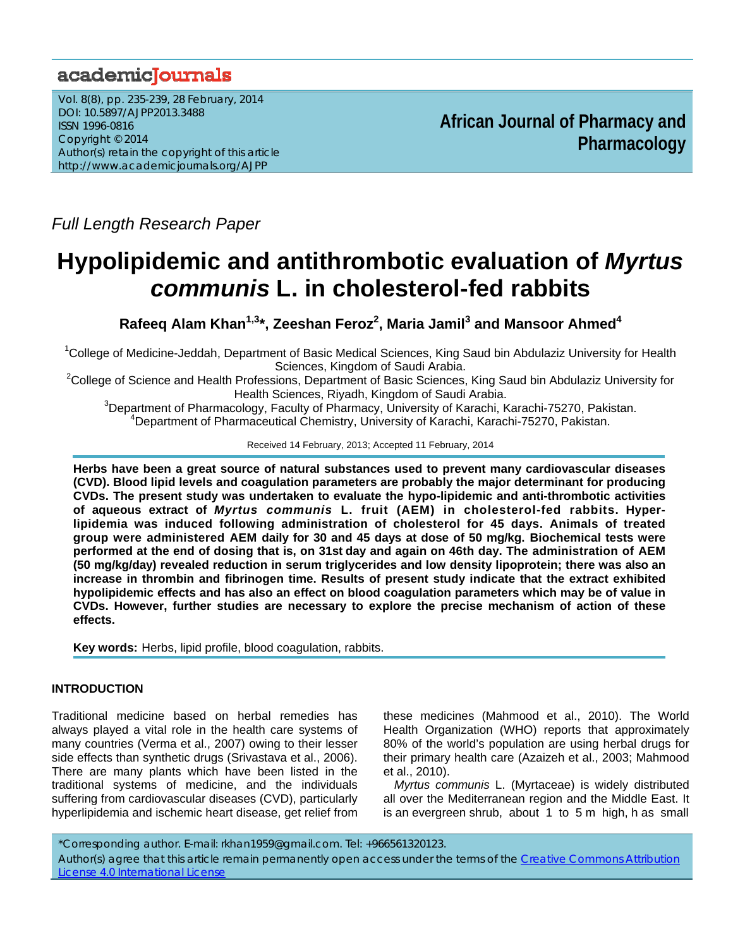## academiclournals

Vol. 8(8), pp. 235-239, 28 February, 2014 DOI: 10.5897/AJPP2013.3488 ISSN 1996-0816 Copyright © 2014 Author(s) retain the copyright of this article http://www.academicjournals.org/AJPP

**African Journal of Pharmacy and Pharmacology**

*Full Length Research Paper* 

# **Hypolipidemic and antithrombotic evaluation of** *Myrtus communis* **L. in cholesterol-fed rabbits**

Rafeeq Alam Khan<sup>1,3</sup>\*, Zeeshan Feroz<sup>2</sup>, Maria Jamil<sup>3</sup> and Mansoor Ahmed<sup>4</sup>

<sup>1</sup>College of Medicine-Jeddah, Department of Basic Medical Sciences, King Saud bin Abdulaziz University for Health

Sciences, Kingdom of Saudi Arabia.<br>College of Science and Health Professions, Department of Basic Sciences, King Saud bin Abdulaziz University for Health Sciences, Riyadh, Kingdom of Saudi Arabia. 3

<sup>3</sup>Department of Pharmacology, Faculty of Pharmacy, University of Karachi, Karachi-75270, Pakistan. 4 Department of Pharmaceutical Chemistry, University of Karachi, Karachi-75270, Pakistan.

Received 14 February, 2013; Accepted 11 February, 2014

**Herbs have been a great source of natural substances used to prevent many cardiovascular diseases (CVD). Blood lipid levels and coagulation parameters are probably the major determinant for producing CVDs. The present study was undertaken to evaluate the hypo-lipidemic and anti-thrombotic activities of aqueous extract of** *Myrtus communis* **L. fruit (AEM) in cholesterol-fed rabbits. Hyperlipidemia was induced following administration of cholesterol for 45 days. Animals of treated group were administered AEM daily for 30 and 45 days at dose of 50 mg/kg. Biochemical tests were performed at the end of dosing that is, on 31st day and again on 46th day. The administration of AEM (50 mg/kg/day) revealed reduction in serum triglycerides and low density lipoprotein; there was also an increase in thrombin and fibrinogen time. Results of present study indicate that the extract exhibited hypolipidemic effects and has also an effect on blood coagulation parameters which may be of value in CVDs. However, further studies are necessary to explore the precise mechanism of action of these effects.** 

**Key words:** Herbs, lipid profile, blood coagulation, rabbits.

## **INTRODUCTION**

Traditional medicine based on herbal remedies has always played a vital role in the health care systems of many countries (Verma et al., 2007) owing to their lesser side effects than synthetic drugs (Srivastava et al., 2006). There are many plants which have been listed in the traditional systems of medicine, and the individuals suffering from cardiovascular diseases (CVD), particularly hyperlipidemia and ischemic heart disease, get relief from these medicines (Mahmood et al., 2010). The World Health Organization (WHO) reports that approximately 80% of the world's population are using herbal drugs for their primary health care (Azaizeh et al., 2003; Mahmood et al., 2010).

*Myrtus communis* L. (Myrtaceae) is widely distributed all over the Mediterranean region and the Middle East. It is an evergreen shrub, about 1 to 5 m high, h as small

\*Corresponding author. E-mail: rkhan1959@gmail.com. Tel: +966561320123. Author(s) agree that this article remain permanently open access under the terms of the Creative Commons Attribution License 4.0 International License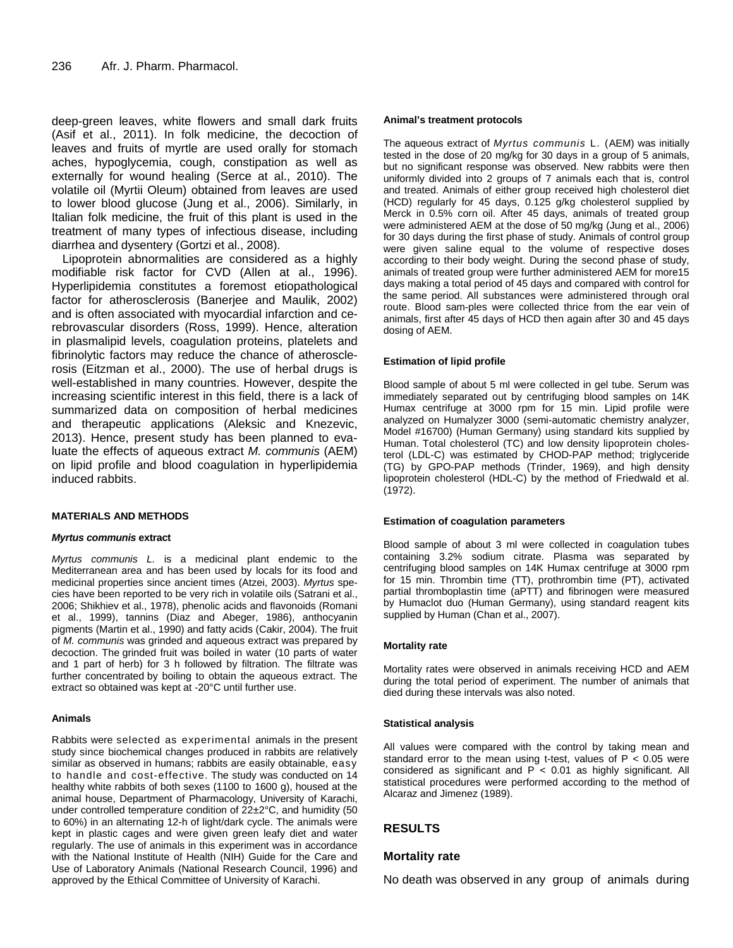deep-green leaves, white flowers and small dark fruits (Asif et al., 2011). In folk medicine, the decoction of leaves and fruits of myrtle are used orally for stomach aches, hypoglycemia, cough, constipation as well as externally for wound healing (Serce at al., 2010). The volatile oil (Myrtii Oleum) obtained from leaves are used to lower blood glucose (Jung et al., 2006). Similarly, in Italian folk medicine, the fruit of this plant is used in the treatment of many types of infectious disease, including diarrhea and dysentery (Gortzi et al., 2008).

Lipoprotein abnormalities are considered as a highly modifiable risk factor for CVD (Allen at al., 1996). Hyperlipidemia constitutes a foremost etiopathological factor for atherosclerosis (Banerjee and Maulik, 2002) and is often associated with myocardial infarction and cerebrovascular disorders (Ross, 1999). Hence, alteration in plasmalipid levels, coagulation proteins, platelets and fibrinolytic factors may reduce the chance of atherosclerosis (Eitzman et al., 2000). The use of herbal drugs is well-established in many countries. However, despite the increasing scientific interest in this field, there is a lack of summarized data on composition of herbal medicines and therapeutic applications (Aleksic and Knezevic, 2013). Hence, present study has been planned to evaluate the effects of aqueous extract *M. communis* (AEM) on lipid profile and blood coagulation in hyperlipidemia induced rabbits.

## **MATERIALS AND METHODS**

## *Myrtus communis* **extract**

*Myrtus communis L.* is a medicinal plant endemic to the Mediterranean area and has been used by locals for its food and medicinal properties since ancient times (Atzei, 2003). *Myrtus* species have been reported to be very rich in volatile oils (Satrani et al., 2006; Shikhiev et al., 1978), phenolic acids and flavonoids (Romani et al., 1999), tannins (Diaz and Abeger, 1986), anthocyanin pigments (Martin et al., 1990) and fatty acids (Cakir, 2004). The fruit of *M. communis* was grinded and aqueous extract was prepared by decoction. The grinded fruit was boiled in water (10 parts of water and 1 part of herb) for 3 h followed by filtration. The filtrate was further concentrated by boiling to obtain the aqueous extract. The extract so obtained was kept at -20°C until further use.

## **Animals**

Rabbits were selected as experimental animals in the present study since biochemical changes produced in rabbits are relatively similar as observed in humans; rabbits are easily obtainable, easy to handle and cost-effective. The study was conducted on 14 healthy white rabbits of both sexes (1100 to 1600 g), housed at the animal house, Department of Pharmacology, University of Karachi, under controlled temperature condition of 22±2°C, and humidity (50 to 60%) in an alternating 12-h of light/dark cycle. The animals were kept in plastic cages and were given green leafy diet and water regularly. The use of animals in this experiment was in accordance with the National Institute of Health (NIH) Guide for the Care and Use of Laboratory Animals (National Research Council, 1996) and approved by the Ethical Committee of University of Karachi.

## **Animal's treatment protocols**

The aqueous extract of *Myrtus communis* L. (AEM) was initially tested in the dose of 20 mg/kg for 30 days in a group of 5 animals, but no significant response was observed. New rabbits were then uniformly divided into 2 groups of 7 animals each that is, control and treated. Animals of either group received high cholesterol diet (HCD) regularly for 45 days, 0.125 g/kg cholesterol supplied by Merck in 0.5% corn oil. After 45 days, animals of treated group were administered AEM at the dose of 50 mg/kg (Jung et al., 2006) for 30 days during the first phase of study. Animals of control group were given saline equal to the volume of respective doses according to their body weight. During the second phase of study, animals of treated group were further administered AEM for more15 days making a total period of 45 days and compared with control for the same period. All substances were administered through oral route. Blood sam-ples were collected thrice from the ear vein of animals, first after 45 days of HCD then again after 30 and 45 days dosing of AEM.

## **Estimation of lipid profile**

Blood sample of about 5 ml were collected in gel tube. Serum was immediately separated out by centrifuging blood samples on 14K Humax centrifuge at 3000 rpm for 15 min. Lipid profile were analyzed on Humalyzer 3000 (semi-automatic chemistry analyzer, Model #16700) (Human Germany) using standard kits supplied by Human. Total cholesterol (TC) and low density lipoprotein cholesterol (LDL-C) was estimated by CHOD-PAP method; triglyceride (TG) by GPO-PAP methods (Trinder, 1969), and high density lipoprotein cholesterol (HDL-C) by the method of Friedwald et al. (1972).

## **Estimation of coagulation parameters**

Blood sample of about 3 ml were collected in coagulation tubes containing 3.2% sodium citrate. Plasma was separated by centrifuging blood samples on 14K Humax centrifuge at 3000 rpm for 15 min. Thrombin time (TT), prothrombin time (PT), activated partial thromboplastin time (aPTT) and fibrinogen were measured by Humaclot duo (Human Germany), using standard reagent kits supplied by Human (Chan et al., 2007).

## **Mortality rate**

Mortality rates were observed in animals receiving HCD and AEM during the total period of experiment. The number of animals that died during these intervals was also noted.

## **Statistical analysis**

All values were compared with the control by taking mean and standard error to the mean using t-test, values of  $P < 0.05$  were considered as significant and  $P < 0.01$  as highly significant. All statistical procedures were performed according to the method of Alcaraz and Jimenez (1989).

## **RESULTS**

## **Mortality rate**

No death was observed in any group of animals during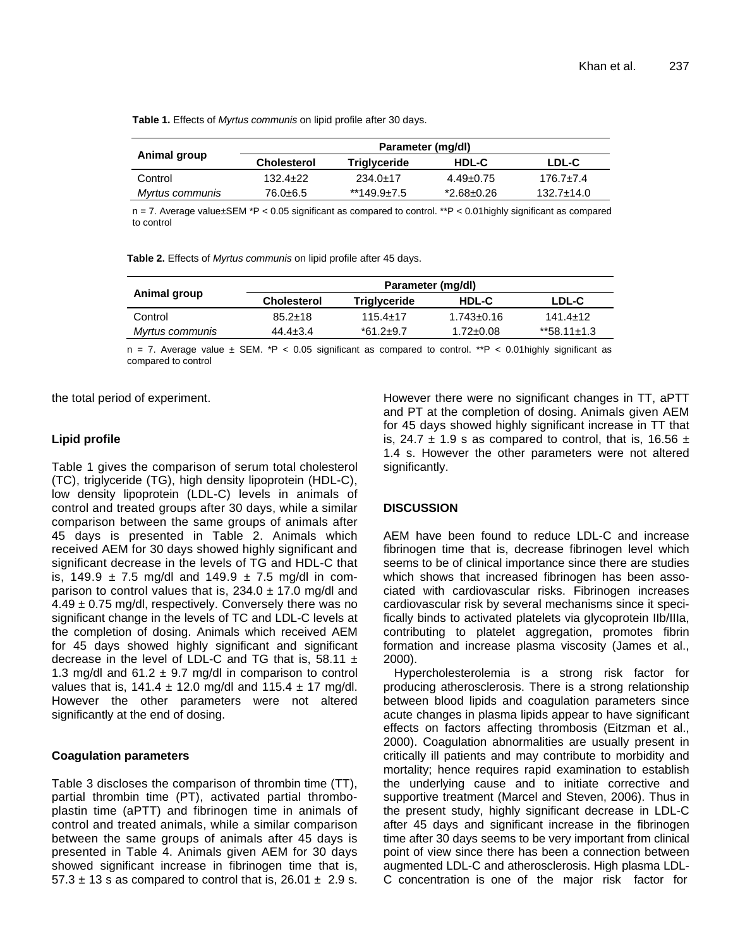**Table 1.** Effects of *Myrtus communis* on lipid profile after 30 days.

|                 | Parameter (mg/dl)  |                     |                 |                  |  |
|-----------------|--------------------|---------------------|-----------------|------------------|--|
| Animal group    | <b>Cholesterol</b> | <b>Triglyceride</b> | HDL-C           | LDL-C            |  |
| Control         | $132.4 + 22$       | $234.0 \pm 17$      | $4.49 \pm 0.75$ | $176.7 + 7.4$    |  |
| Myrtus communis | 76.0±6.5           | $*149.9 \pm 7.5$    | *2.68±0.26      | $132.7 \pm 14.0$ |  |

n = 7. Average value±SEM \*P < 0.05 significant as compared to control. \*\*P < 0.01highly significant as compared to control

**Table 2.** Effects of *Myrtus communis* on lipid profile after 45 days.

| Animal group    | Parameter (mg/dl)  |                 |                 |                  |
|-----------------|--------------------|-----------------|-----------------|------------------|
|                 | <b>Cholesterol</b> | Triglyceride    | <b>HDL-C</b>    | LDL-C            |
| Control         | $85.2 \pm 18$      | $115.4 + 17$    | 1.743+0.16      | 141.4+12         |
| Myrtus communis | $44.4 \pm 3.4$     | $*61.2 \pm 9.7$ | $1.72 \pm 0.08$ | $*58.11 \pm 1.3$ |
|                 |                    |                 |                 |                  |

 $n = 7$ . Average value  $\pm$  SEM. \*P < 0.05 significant as compared to control. \*\*P < 0.01 highly significant as compared to control

the total period of experiment.

## **Lipid profile**

Table 1 gives the comparison of serum total cholesterol (TC), triglyceride (TG), high density lipoprotein (HDL-C), low density lipoprotein (LDL-C) levels in animals of control and treated groups after 30 days, while a similar comparison between the same groups of animals after 45 days is presented in Table 2. Animals which received AEM for 30 days showed highly significant and significant decrease in the levels of TG and HDL-C that is, 149.9  $\pm$  7.5 mg/dl and 149.9  $\pm$  7.5 mg/dl in comparison to control values that is,  $234.0 \pm 17.0$  mg/dl and  $4.49 \pm 0.75$  mg/dl, respectively. Conversely there was no significant change in the levels of TC and LDL-C levels at the completion of dosing. Animals which received AEM for 45 days showed highly significant and significant decrease in the level of LDL-C and TG that is, 58.11  $\pm$ 1.3 mg/dl and  $61.2 \pm 9.7$  mg/dl in comparison to control values that is,  $141.4 \pm 12.0$  mg/dl and  $115.4 \pm 17$  mg/dl. However the other parameters were not altered significantly at the end of dosing.

## **Coagulation parameters**

Table 3 discloses the comparison of thrombin time (TT), partial thrombin time (PT), activated partial thromboplastin time (aPTT) and fibrinogen time in animals of control and treated animals, while a similar comparison between the same groups of animals after 45 days is presented in Table 4. Animals given AEM for 30 days showed significant increase in fibrinogen time that is,  $57.3 \pm 13$  s as compared to control that is, 26.01  $\pm$  2.9 s. However there were no significant changes in TT, aPTT and PT at the completion of dosing. Animals given AEM for 45 days showed highly significant increase in TT that is, 24.7  $\pm$  1.9 s as compared to control, that is, 16.56  $\pm$ 1.4 s. However the other parameters were not altered significantly.

## **DISCUSSION**

AEM have been found to reduce LDL-C and increase fibrinogen time that is, decrease fibrinogen level which seems to be of clinical importance since there are studies which shows that increased fibrinogen has been associated with cardiovascular risks. Fibrinogen increases cardiovascular risk by several mechanisms since it specifically binds to activated platelets via glycoprotein IIb/IIIa, contributing to platelet aggregation, promotes fibrin formation and increase plasma viscosity (James et al., 2000).

Hypercholesterolemia is a strong risk factor for producing atherosclerosis. There is a strong relationship between blood lipids and coagulation parameters since acute changes in plasma lipids appear to have significant effects on factors affecting thrombosis (Eitzman et al., 2000). Coagulation abnormalities are usually present in critically ill patients and may contribute to morbidity and mortality; hence requires rapid examination to establish the underlying cause and to initiate corrective and supportive treatment (Marcel and Steven, 2006). Thus in the present study, highly significant decrease in LDL-C after 45 days and significant increase in the fibrinogen time after 30 days seems to be very important from clinical point of view since there has been a connection between augmented LDL-C and atherosclerosis. High plasma LDL-C concentration is one of the major risk factor for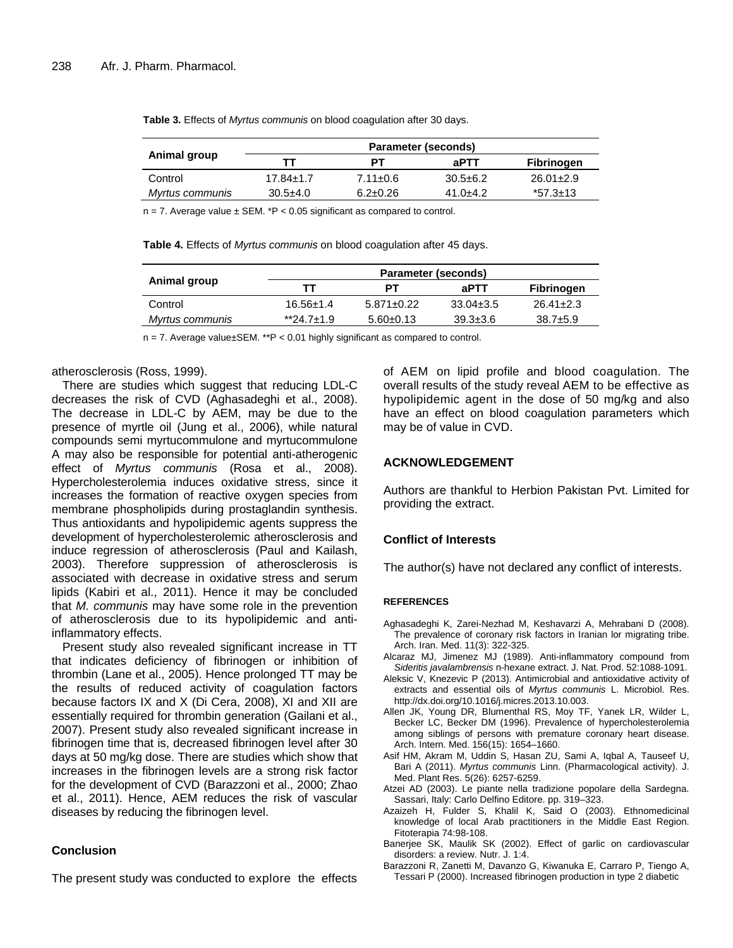| Animal group    | Parameter (seconds) |                |                |                 |  |
|-----------------|---------------------|----------------|----------------|-----------------|--|
|                 | тт                  | ΡТ             | aPTT           | Fibrinogen      |  |
| Control         | $17.84 \pm 1.7$     | $7.11 \pm 0.6$ | $30.5 \pm 6.2$ | $26.01 \pm 2.9$ |  |
| Myrtus communis | $30.5+4.0$          | $6.2 \pm 0.26$ | $41.0 + 4.2$   | $*57.3 \pm 13$  |  |

**Table 3.** Effects of *Myrtus communis* on blood coagulation after 30 days.

 $n = 7$ . Average value  $\pm$  SEM. \*P < 0.05 significant as compared to control.

**Table 4.** Effects of *Myrtus communis* on blood coagulation after 45 days.

| Animal group    | <b>Parameter (seconds)</b> |                  |                |                 |
|-----------------|----------------------------|------------------|----------------|-----------------|
|                 | тт                         | PТ               | aPTT           | Fibrinogen      |
| Control         | $16.56 \pm 1.4$            | $5.871 \pm 0.22$ | $33.04\pm3.5$  | $26.41 \pm 2.3$ |
| Myrtus communis | $*24.7+1.9$                | $5.60 \pm 0.13$  | $39.3 \pm 3.6$ | $38.7 \pm 5.9$  |

 $n = 7$ . Average value±SEM. \*\*P < 0.01 highly significant as compared to control.

#### atherosclerosis (Ross, 1999).

There are studies which suggest that reducing LDL-C decreases the risk of CVD (Aghasadeghi et al., 2008). The decrease in LDL-C by AEM, may be due to the presence of myrtle oil (Jung et al., 2006), while natural compounds semi myrtucommulone and myrtucommulone A may also be responsible for potential anti-atherogenic effect of *Myrtus communis* (Rosa et al., 2008). Hypercholesterolemia induces oxidative stress, since it increases the formation of reactive oxygen species from membrane phospholipids during prostaglandin synthesis. Thus antioxidants and hypolipidemic agents suppress the development of hypercholesterolemic atherosclerosis and induce regression of atherosclerosis (Paul and Kailash, 2003). Therefore suppression of atherosclerosis is associated with decrease in oxidative stress and serum lipids (Kabiri et al., 2011). Hence it may be concluded that *M. communis* may have some role in the prevention of atherosclerosis due to its hypolipidemic and antiinflammatory effects.

Present study also revealed significant increase in TT that indicates deficiency of fibrinogen or inhibition of thrombin (Lane et al., 2005). Hence prolonged TT may be the results of reduced activity of coagulation factors because factors IX and X (Di Cera, 2008), XI and XII are essentially required for thrombin generation (Gailani et al., 2007). Present study also revealed significant increase in fibrinogen time that is, decreased fibrinogen level after 30 days at 50 mg/kg dose. There are studies which show that increases in the fibrinogen levels are a strong risk factor for the development of CVD (Barazzoni et al., 2000; Zhao et al., 2011). Hence, AEM reduces the risk of vascular diseases by reducing the fibrinogen level.

## **Conclusion**

The present study was conducted to explore the effects

of AEM on lipid profile and blood coagulation. The overall results of the study reveal AEM to be effective as hypolipidemic agent in the dose of 50 mg/kg and also have an effect on blood coagulation parameters which may be of value in CVD.

## **ACKNOWLEDGEMENT**

Authors are thankful to Herbion Pakistan Pvt. Limited for providing the extract.

## **Conflict of Interests**

The author(s) have not declared any conflict of interests.

#### **REFERENCES**

- Aghasadeghi K, Zarei-Nezhad M, Keshavarzi A, Mehrabani D (2008). The prevalence of coronary risk factors in Iranian lor migrating tribe. Arch. Iran. Med. 11(3): 322-325.
- Alcaraz MJ, Jimenez MJ (1989). Anti-inflammatory compound from *Sideritis javalambrensis* n-hexane extract. J. Nat. Prod. 52:1088-1091.
- Aleksic V, Knezevic P (2013). Antimicrobial and antioxidative activity of extracts and essential oils of *Myrtus communis* L. Microbiol. Res. http://dx.doi.org/10.1016/j.micres.2013.10.003.
- Allen JK, Young DR, Blumenthal RS, Moy TF, Yanek LR, Wilder L, Becker LC, Becker DM (1996). Prevalence of hypercholesterolemia among siblings of persons with premature coronary heart disease. Arch. Intern. Med. 156(15): 1654–1660.
- Asif HM, Akram M, Uddin S, Hasan ZU, Sami A, Iqbal A, Tauseef U, Bari A (2011). *Myrtus communis* Linn. (Pharmacological activity). J. Med. Plant Res. 5(26): 6257-6259.
- Atzei AD (2003). Le piante nella tradizione popolare della Sardegna. Sassari, Italy: Carlo Delfino Editore. pp. 319–323.
- Azaizeh H, Fulder S, Khalil K, Said O (2003). Ethnomedicinal knowledge of local Arab practitioners in the Middle East Region. Fitoterapia 74:98-108.
- Banerjee SK, Maulik SK (2002). Effect of garlic on cardiovascular disorders: a review. Nutr. J. 1:4.
- Barazzoni R, Zanetti M, Davanzo G, Kiwanuka E, Carraro P, Tiengo A, Tessari P (2000). Increased fibrinogen production in type 2 diabetic